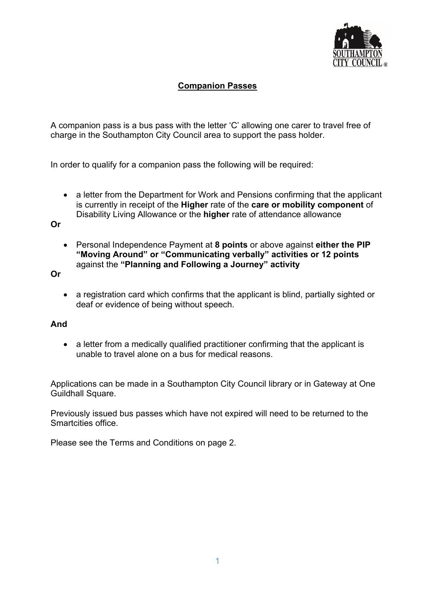

## **Companion Passes**

A companion pass is a bus pass with the letter 'C' allowing one carer to travel free of charge in the Southampton City Council area to support the pass holder.

In order to qualify for a companion pass the following will be required:

• a letter from the Department for Work and Pensions confirming that the applicant is currently in receipt of the **Higher** rate of the **care or mobility component** of Disability Living Allowance or the **higher** rate of attendance allowance

**Or** 

• Personal Independence Payment at **8 points** or above against **either the PIP "Moving Around" or "Communicating verbally" activities or 12 points**  against the **"Planning and Following a Journey" activity**

**Or**

• a registration card which confirms that the applicant is blind, partially sighted or deaf or evidence of being without speech.

## **And**

• a letter from a medically qualified practitioner confirming that the applicant is unable to travel alone on a bus for medical reasons.

Applications can be made in a Southampton City Council library or in Gateway at One Guildhall Square.

Previously issued bus passes which have not expired will need to be returned to the Smartcities office.

Please see the Terms and Conditions on page 2.